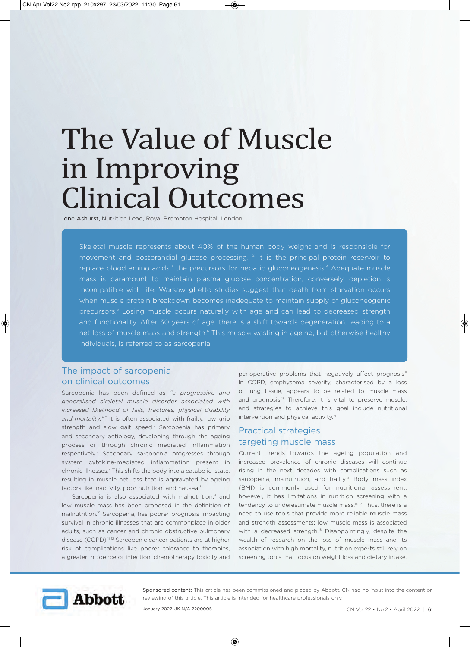# The Value of Muscle in Improving Clinical Outcomes

Ione Ashurst, Nutrition Lead, Royal Brompton Hospital, London

Skeletal muscle represents about 40% of the human body weight and is responsible for movement and postprandial glucose processing.<sup>1,2</sup> It is the principal protein reservoir to replace blood amino acids,<sup>3</sup> the precursors for hepatic gluconeogenesis.<sup>4</sup> Adequate muscle mass is paramount to maintain plasma glucose concentration, conversely, depletion is incompatible with life. Warsaw ghetto studies suggest that death from starvation occurs when muscle protein breakdown becomes inadequate to maintain supply of gluconeogenic precursors.<sup>5</sup> Losing muscle occurs naturally with age and can lead to decreased strength and functionality. After 30 years of age, there is a shift towards degeneration, leading to a net loss of muscle mass and strength.<sup>6</sup> This muscle wasting in ageing, but otherwise healthy individuals, is referred to as sarcopenia.

# The impact of sarcopenia on clinical outcomes

Sarcopenia has been defined as *"a progressive and generalised skeletal muscle disorder associated with increased likelihood of falls, fractures, physical disability* and mortality."<sup>7</sup> It is often associated with frailty, low grip strength and slow gait speed.<sup>7</sup> Sarcopenia has primary and secondary aetiology, developing through the ageing process or through chronic mediated inflammation respectively.<sup>7</sup> Secondary sarcopenia progresses through system cytokine-mediated inflammation present in chronic illnesses.<sup>7</sup> This shifts the body into a catabolic state, resulting in muscle net loss that is aggravated by ageing factors like inactivity, poor nutrition, and nausea.<sup>8</sup>

Sarcopenia is also associated with malnutrition,<sup>9</sup> and low muscle mass has been proposed in the definition of malnutrition.10 Sarcopenia, has poorer prognosis impacting survival in chronic illnesses that are commonplace in older adults, such as cancer and chronic obstructive pulmonary disease (COPD).<sup>11,12</sup> Sarcopenic cancer patients are at higher risk of complications like poorer tolerance to therapies, a greater incidence of infection, chemotherapy toxicity and

perioperative problems that negatively affect prognosis<sup>11</sup> In COPD, emphysema severity, characterised by a loss of lung tissue, appears to be related to muscle mass and prognosis.<sup>13</sup> Therefore, it is vital to preserve muscle, and strategies to achieve this goal include nutritional intervention and physical activity.<sup>14</sup>

# Practical strategies targeting muscle mass

Current trends towards the ageing population and increased prevalence of chronic diseases will continue rising in the next decades with complications such as sarcopenia, malnutrition, and frailty.<sup>15</sup> Body mass index (BMI) is commonly used for nutritional assessment, however, it has limitations in nutrition screening with a tendency to underestimate muscle mass.<sup>16, 17</sup> Thus, there is a need to use tools that provide more reliable muscle mass and strength assessments; low muscle mass is associated with a decreased strength.<sup>18</sup> Disappointingly, despite the wealth of research on the loss of muscle mass and its association with high mortality, nutrition experts still rely on screening tools that focus on weight loss and dietary intake.



Sponsored content: This article has been commissioned and placed by Abbott. CN had no input into the content or reviewing of this article. This article is intended for healthcare professionals only.